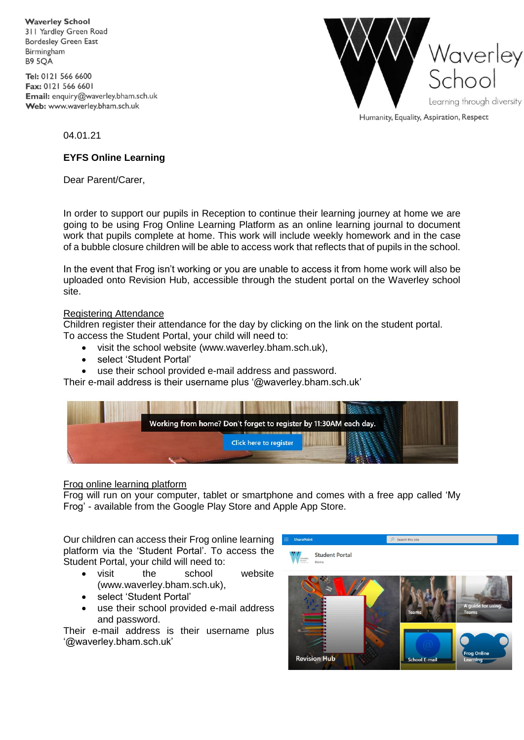**Waverley School** 311 Yardley Green Road **Bordesley Green East** Birmingham **B9 5QA** 

Tel: 0121 566 6600 Fax: 0121 566 6601 Email: enquiry@waverley.bham.sch.uk Web: www.waverley.bham.sch.uk



Humanity, Equality, Aspiration, Respect

04.01.21

## **EYFS Online Learning**

Dear Parent/Carer,

In order to support our pupils in Reception to continue their learning journey at home we are going to be using Frog Online Learning Platform as an online learning journal to document work that pupils complete at home. This work will include weekly homework and in the case of a bubble closure children will be able to access work that reflects that of pupils in the school.

In the event that Frog isn't working or you are unable to access it from home work will also be uploaded onto Revision Hub, accessible through the student portal on the Waverley school site.

## Registering Attendance

Children register their attendance for the day by clicking on the link on the student portal. To access the Student Portal, your child will need to:

- visit the school website (www.waverley.bham.sch.uk),
- select 'Student Portal'
- use their school provided e-mail address and password.

Their e-mail address is their username plus '@waverley.bham.sch.uk'



## Frog online learning platform

Frog will run on your computer, tablet or smartphone and comes with a free app called 'My Frog' - available from the Google Play Store and Apple App Store.

Our children can access their Frog online learning platform via the 'Student Portal'. To access the Student Portal, your child will need to:

- visit the school website (www.waverley.bham.sch.uk),
- select 'Student Portal'
- use their school provided e-mail address and password.

Their e-mail address is their username plus '@waverley.bham.sch.uk'

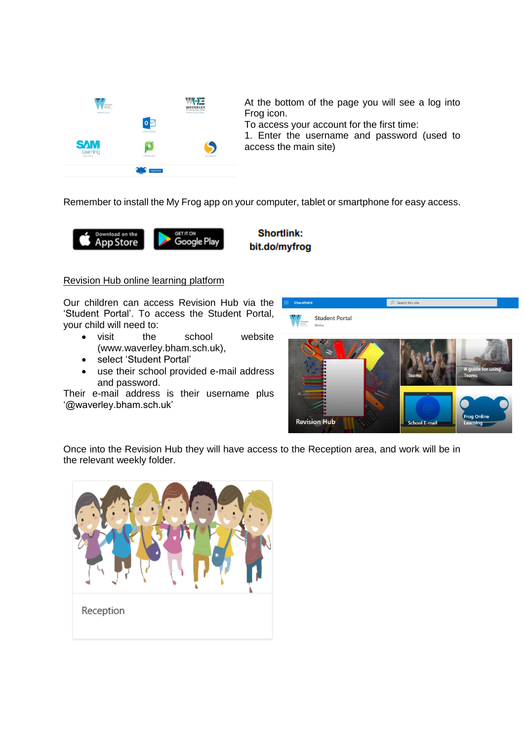

At the bottom of the page you will see a log into Frog icon.

To access your account for the first time:

1. Enter the username and password (used to access the main site)

Remember to install the My Frog app on your computer, tablet or smartphone for easy access.



**Shortlink:** bit.do/myfrog

## Revision Hub online learning platform

Our children can access Revision Hub via the 'Student Portal'. To access the Student Portal, your child will need to:

- visit the school website (www.waverley.bham.sch.uk),
- select 'Student Portal'
- use their school provided e-mail address and password.

Their e-mail address is their username plus '@waverley.bham.sch.uk'



Once into the Revision Hub they will have access to the Reception area, and work will be in the relevant weekly folder.